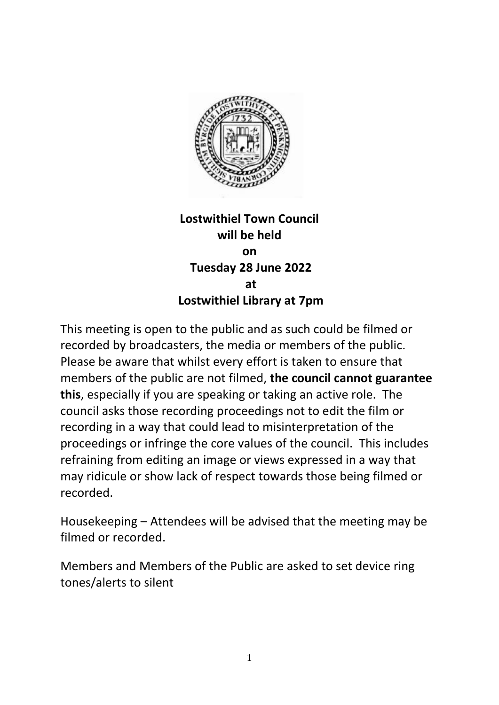

## **Lostwithiel Town Council will be held on Tuesday 28 June 2022 at Lostwithiel Library at 7pm**

This meeting is open to the public and as such could be filmed or recorded by broadcasters, the media or members of the public. Please be aware that whilst every effort is taken to ensure that members of the public are not filmed, **the council cannot guarantee this**, especially if you are speaking or taking an active role. The council asks those recording proceedings not to edit the film or recording in a way that could lead to misinterpretation of the proceedings or infringe the core values of the council. This includes refraining from editing an image or views expressed in a way that may ridicule or show lack of respect towards those being filmed or recorded.

Housekeeping – Attendees will be advised that the meeting may be filmed or recorded.

Members and Members of the Public are asked to set device ring tones/alerts to silent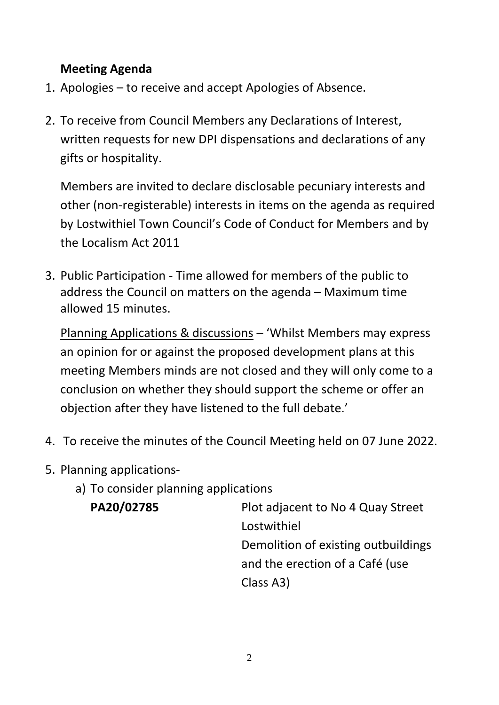## **Meeting Agenda**

- 1. Apologies to receive and accept Apologies of Absence.
- 2. To receive from Council Members any Declarations of Interest, written requests for new DPI dispensations and declarations of any gifts or hospitality.

Members are invited to declare disclosable pecuniary interests and other (non-registerable) interests in items on the agenda as required by Lostwithiel Town Council's Code of Conduct for Members and by the Localism Act 2011

3. Public Participation - Time allowed for members of the public to address the Council on matters on the agenda – Maximum time allowed 15 minutes.

Planning Applications & discussions – 'Whilst Members may express an opinion for or against the proposed development plans at this meeting Members minds are not closed and they will only come to a conclusion on whether they should support the scheme or offer an objection after they have listened to the full debate.'

- 4. To receive the minutes of the Council Meeting held on 07 June 2022.
- 5. Planning applications
	- a) To consider planning applications

**PA20/02785** Plot adjacent to No 4 Quay Street Lostwithiel Demolition of existing outbuildings and the erection of a Café (use Class A3)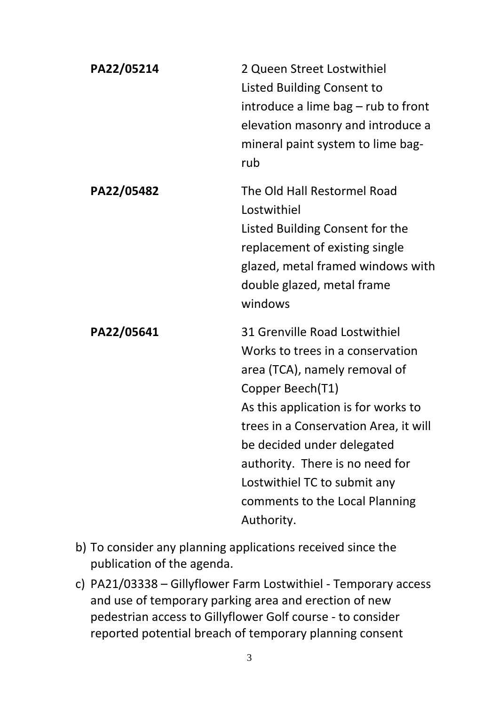| PA22/05214 | 2 Queen Street Lostwithiel<br><b>Listed Building Consent to</b><br>introduce a lime bag – rub to front<br>elevation masonry and introduce a<br>mineral paint system to lime bag-<br>rub                                                                                                                                                                 |
|------------|---------------------------------------------------------------------------------------------------------------------------------------------------------------------------------------------------------------------------------------------------------------------------------------------------------------------------------------------------------|
| PA22/05482 | The Old Hall Restormel Road<br>Lostwithiel<br>Listed Building Consent for the<br>replacement of existing single<br>glazed, metal framed windows with<br>double glazed, metal frame<br>windows                                                                                                                                                           |
| PA22/05641 | 31 Grenville Road Lostwithiel<br>Works to trees in a conservation<br>area (TCA), namely removal of<br>Copper Beech(T1)<br>As this application is for works to<br>trees in a Conservation Area, it will<br>be decided under delegated<br>authority. There is no need for<br>Lostwithiel TC to submit any<br>comments to the Local Planning<br>Authority. |

- b) To consider any planning applications received since the publication of the agenda.
- c) PA21/03338 Gillyflower Farm Lostwithiel Temporary access and use of temporary parking area and erection of new pedestrian access to Gillyflower Golf course - to consider reported potential breach of temporary planning consent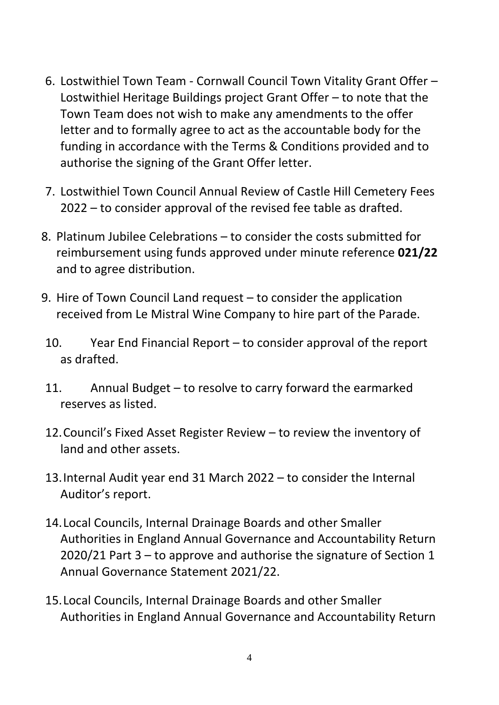- 6. Lostwithiel Town Team Cornwall Council Town Vitality Grant Offer Lostwithiel Heritage Buildings project Grant Offer – to note that the Town Team does not wish to make any amendments to the offer letter and to formally agree to act as the accountable body for the funding in accordance with the Terms & Conditions provided and to authorise the signing of the Grant Offer letter.
- 7. Lostwithiel Town Council Annual Review of Castle Hill Cemetery Fees 2022 – to consider approval of the revised fee table as drafted.
- 8. Platinum Jubilee Celebrations to consider the costs submitted for reimbursement using funds approved under minute reference **021/22** and to agree distribution.
- 9. Hire of Town Council Land request to consider the application received from Le Mistral Wine Company to hire part of the Parade.
- 10. Year End Financial Report to consider approval of the report as drafted.
- 11. Annual Budget to resolve to carry forward the earmarked reserves as listed.
- 12.Council's Fixed Asset Register Review to review the inventory of land and other assets.
- 13.Internal Audit year end 31 March 2022 to consider the Internal Auditor's report.
- 14.Local Councils, Internal Drainage Boards and other Smaller Authorities in England Annual Governance and Accountability Return 2020/21 Part 3 – to approve and authorise the signature of Section 1 Annual Governance Statement 2021/22.
- 15.Local Councils, Internal Drainage Boards and other Smaller Authorities in England Annual Governance and Accountability Return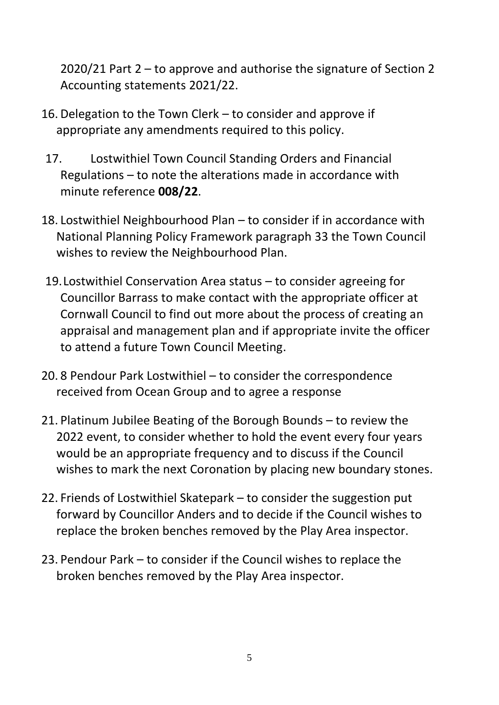2020/21 Part 2 – to approve and authorise the signature of Section 2 Accounting statements 2021/22.

- 16. Delegation to the Town Clerk to consider and approve if appropriate any amendments required to this policy.
- 17. Lostwithiel Town Council Standing Orders and Financial Regulations – to note the alterations made in accordance with minute reference **008/22**.
- 18. Lostwithiel Neighbourhood Plan to consider if in accordance with National Planning Policy Framework paragraph 33 the Town Council wishes to review the Neighbourhood Plan.
- 19.Lostwithiel Conservation Area status to consider agreeing for Councillor Barrass to make contact with the appropriate officer at Cornwall Council to find out more about the process of creating an appraisal and management plan and if appropriate invite the officer to attend a future Town Council Meeting.
- 20. 8 Pendour Park Lostwithiel to consider the correspondence received from Ocean Group and to agree a response
- 21. Platinum Jubilee Beating of the Borough Bounds to review the 2022 event, to consider whether to hold the event every four years would be an appropriate frequency and to discuss if the Council wishes to mark the next Coronation by placing new boundary stones.
- 22. Friends of Lostwithiel Skatepark to consider the suggestion put forward by Councillor Anders and to decide if the Council wishes to replace the broken benches removed by the Play Area inspector.
- 23. Pendour Park to consider if the Council wishes to replace the broken benches removed by the Play Area inspector.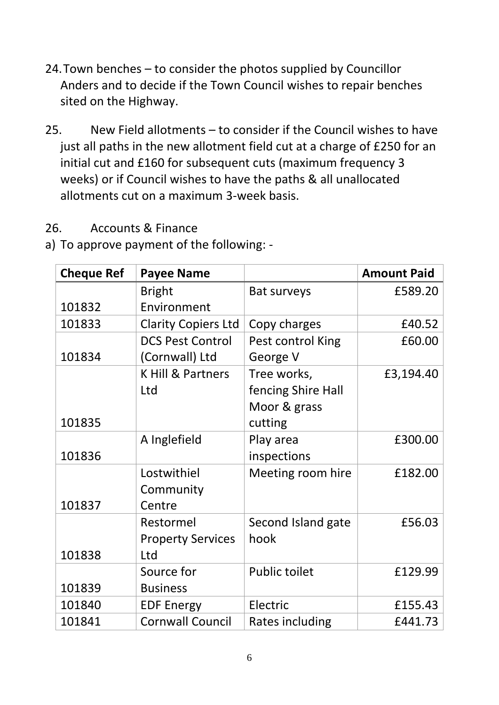- 24.Town benches to consider the photos supplied by Councillor Anders and to decide if the Town Council wishes to repair benches sited on the Highway.
- 25. New Field allotments to consider if the Council wishes to have just all paths in the new allotment field cut at a charge of £250 for an initial cut and £160 for subsequent cuts (maximum frequency 3 weeks) or if Council wishes to have the paths & all unallocated allotments cut on a maximum 3-week basis.

## 26. Accounts & Finance

a) To approve payment of the following: -

| <b>Cheque Ref</b> | <b>Payee Name</b>          |                      | <b>Amount Paid</b> |
|-------------------|----------------------------|----------------------|--------------------|
|                   | <b>Bright</b>              | <b>Bat surveys</b>   | £589.20            |
| 101832            | Environment                |                      |                    |
| 101833            | <b>Clarity Copiers Ltd</b> | Copy charges         | £40.52             |
|                   | <b>DCS Pest Control</b>    | Pest control King    | £60.00             |
| 101834            | (Cornwall) Ltd             | George V             |                    |
|                   | K Hill & Partners          | Tree works,          | £3,194.40          |
|                   | Ltd                        | fencing Shire Hall   |                    |
|                   |                            | Moor & grass         |                    |
| 101835            |                            | cutting              |                    |
|                   | A Inglefield               | Play area            | £300.00            |
| 101836            |                            | inspections          |                    |
|                   | Lostwithiel                | Meeting room hire    | £182.00            |
|                   | Community                  |                      |                    |
| 101837            | Centre                     |                      |                    |
|                   | Restormel                  | Second Island gate   | £56.03             |
|                   | <b>Property Services</b>   | hook                 |                    |
| 101838            | Ltd                        |                      |                    |
|                   | Source for                 | <b>Public toilet</b> | £129.99            |
| 101839            | <b>Business</b>            |                      |                    |
| 101840            | <b>EDF Energy</b>          | Electric             | £155.43            |
| 101841            | <b>Cornwall Council</b>    | Rates including      | £441.73            |